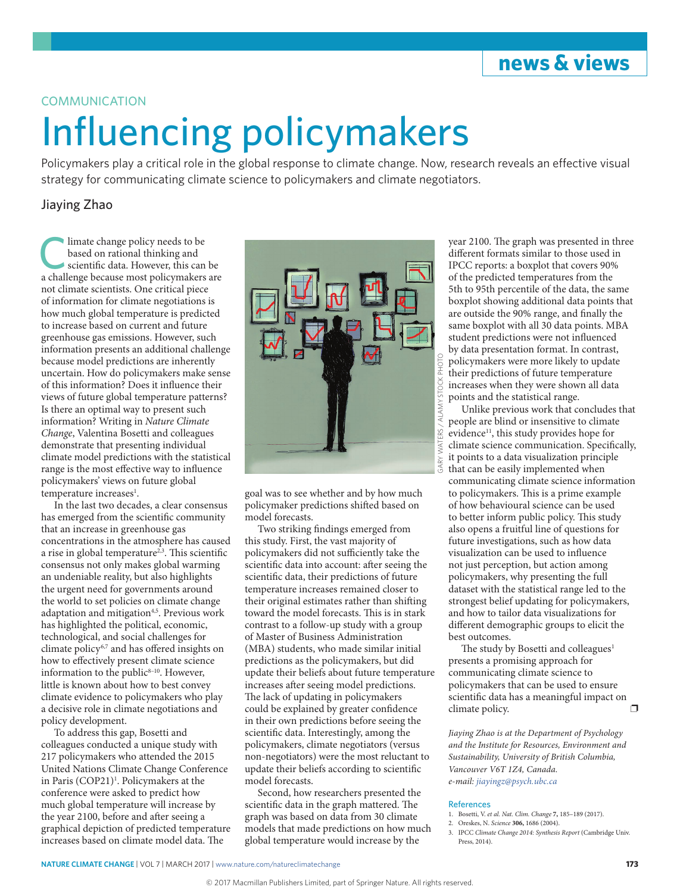

# **COMMUNICATION**

# Influencing policymakers

Policymakers play a critical role in the global response to climate change. Now, research reveals an effective visual strategy for communicating climate science to policymakers and climate negotiators.

## Jiaying Zhao

limate change policy needs to be based on rational thinking and scientific data. However, this can be a challenge because most policymakers are not climate scientists. One critical piece of information for climate negotiations is how much global temperature is predicted to increase based on current and future greenhouse gas emissions. However, such information presents an additional challenge because model predictions are inherently uncertain. How do policymakers make sense of this information? Does it influence their views of future global temperature patterns? Is there an optimal way to present such information? Writing in *Nature Climate Change*, Valentina Bosetti and colleagues demonstrate that presenting individual climate model predictions with the statistical range is the most effective way to influence policymakers' views on future global temperature increases<sup>1</sup>.

In the last two decades, a clear consensus has emerged from the scientific community that an increase in greenhouse gas concentrations in the atmosphere has caused a rise in global temperature<sup>2,3</sup>. This scientific consensus not only makes global warming an undeniable reality, but also highlights the urgent need for governments around the world to set policies on climate change adaptation and mitigation<sup>4,5</sup>. Previous work has highlighted the political, economic, technological, and social challenges for climate policy<sup>6,7</sup> and has offered insights on how to effectively present climate science information to the public $8-10$ . However, little is known about how to best convey climate evidence to policymakers who play a decisive role in climate negotiations and policy development.

To address this gap, Bosetti and colleagues conducted a unique study with 217 policymakers who attended the 2015 United Nations Climate Change Conference in Paris (COP21)<sup>1</sup>. Policymakers at the conference were asked to predict how much global temperature will increase by the year 2100, before and after seeing a graphical depiction of predicted temperature increases based on climate model data. The



goal was to see whether and by how much policymaker predictions shifted based on model forecasts.

Two striking findings emerged from this study. First, the vast majority of policymakers did not sufficiently take the scientific data into account: after seeing the scientific data, their predictions of future temperature increases remained closer to their original estimates rather than shifting toward the model forecasts. This is in stark contrast to a follow-up study with a group of Master of Business Administration (MBA) students, who made similar initial predictions as the policymakers, but did update their beliefs about future temperature increases after seeing model predictions. The lack of updating in policymakers could be explained by greater confidence in their own predictions before seeing the scientific data. Interestingly, among the policymakers, climate negotiators (versus non-negotiators) were the most reluctant to update their beliefs according to scientific model forecasts.

Second, how researchers presented the scientific data in the graph mattered. The graph was based on data from 30 climate models that made predictions on how much global temperature would increase by the

year 2100. The graph was presented in three different formats similar to those used in IPCC reports: a boxplot that covers 90% of the predicted temperatures from the 5th to 95th percentile of the data, the same boxplot showing additional data points that are outside the 90% range, and finally the same boxplot with all 30 data points. MBA student predictions were not influenced by data presentation format. In contrast, policymakers were more likely to update their predictions of future temperature increases when they were shown all data points and the statistical range.

Unlike previous work that concludes that people are blind or insensitive to climate evidence<sup>11</sup>, this study provides hope for climate science communication. Specifically, it points to a data visualization principle that can be easily implemented when communicating climate science information to policymakers. This is a prime example of how behavioural science can be used to better inform public policy. This study also opens a fruitful line of questions for future investigations, such as how data visualization can be used to influence not just perception, but action among policymakers, why presenting the full dataset with the statistical range led to the strongest belief updating for policymakers, and how to tailor data visualizations for different demographic groups to elicit the best outcomes.

The study by Bosetti and colleagues<sup>1</sup> presents a promising approach for communicating climate science to policymakers that can be used to ensure scientific data has a meaningful impact on climate policy.

*Jiaying Zhao is at the Department of Psychology and the Institute for Resources, Environment and Sustainability, University of British Columbia, Vancouver V6T 1Z4, Canada. e-mail: [jiayingz@psych.ubc.ca](mailto:jiayingz@psych.ubc.ca)*

#### **References**

- 1. Bosetti, V. *et al. Nat. Clim. Change* **7,** 185–189 (2017).
- 2. Oreskes, N. *Science* **306,** 1686 (2004).
- 3. IPCC *Climate Change 2014: Synthesis Report* (Cambridge Univ. Press, 2014).